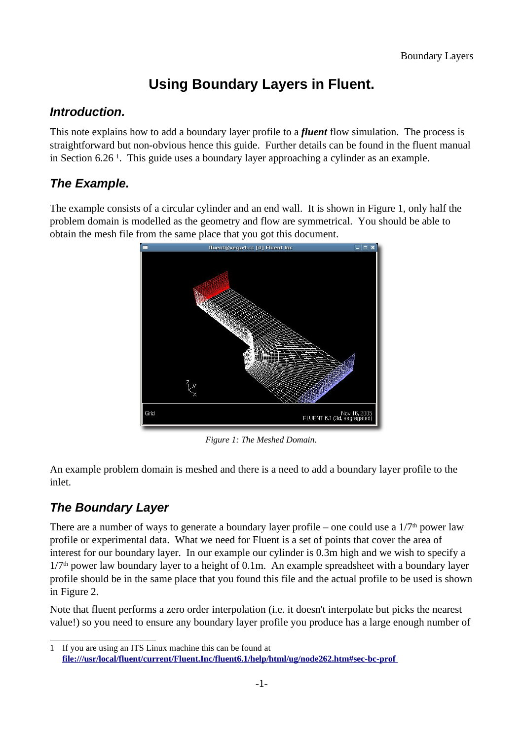# **Using Boundary Layers in Fluent.**

#### **Introduction.**

This note explains how to add a boundary layer profile to a *fluent* flow simulation. The process is straightforward but non-obvious hence this guide. Further details can be found in the fluent manual in Section 6.26<sup>1</sup>. This guide uses a boundary layer approaching a cylinder as an example.

## **The Example.**

The example consists of a circular cylinder and an end wall. It is shown in Figure 1, only half the problem domain is modelled as the geometry and flow are symmetrical. You should be able to obtain the mesh file from the same place that you got this document.



*Figure 1: The Meshed Domain.*

An example problem domain is meshed and there is a need to add a boundary layer profile to the inlet.

## **The Boundary Layer**

There are a number of ways to generate a boundary layer profile – one could use a  $1/7<sup>th</sup>$  power law profile or experimental data. What we need for Fluent is a set of points that cover the area of interest for our boundary layer. In our example our cylinder is 0.3m high and we wish to specify a 1/7<sup>th</sup> power law boundary layer to a height of 0.1m. An example spreadsheet with a boundary layer profile should be in the same place that you found this file and the actual profile to be used is shown in Figure 2.

Note that fluent performs a zero order interpolation (i.e. it doesn't interpolate but picks the nearest value!) so you need to ensure any boundary layer profile you produce has a large enough number of

<sup>1</sup> If you are using an ITS Linux machine this can be found at **file:///usr/local/fluent/current/Fluent.Inc/fluent6.1/help/html/ug/node262.htm#sec-bc-prof**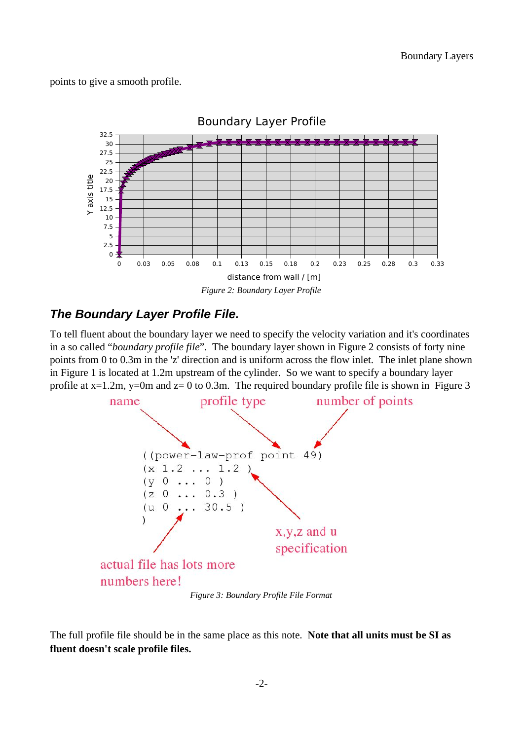points to give a smooth profile.



#### **The Boundary Layer Profile File.**

To tell fluent about the boundary layer we need to specify the velocity variation and it's coordinates in a so called "*boundary profile file*". The boundary layer shown in Figure 2 consists of forty nine points from 0 to 0.3m in the 'z' direction and is uniform across the flow inlet. The inlet plane shown in Figure 1 is located at 1.2m upstream of the cylinder. So we want to specify a boundary layer profile at  $x=1.2m$ ,  $y=0m$  and  $z=0$  to 0.3m. The required boundary profile file is shown in Figure 3



*Figure 3: Boundary Profile File Format*

The full profile file should be in the same place as this note. **Note that all units must be SI as fluent doesn't scale profile files.**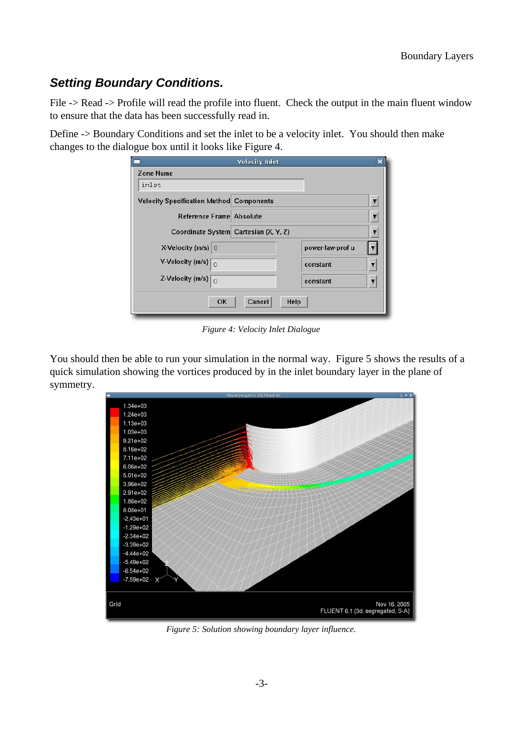### **Setting Boundary Conditions.**

File -> Read -> Profile will read the profile into fluent. Check the output in the main fluent window to ensure that the data has been successfully read in.

Define -> Boundary Conditions and set the inlet to be a velocity inlet. You should then make changes to the dialogue box until it looks like Figure 4.

|                                                 | <b>Velocity Inlet</b> |                  | × |
|-------------------------------------------------|-----------------------|------------------|---|
| <b>Zone Name</b>                                |                       |                  |   |
| inlet                                           |                       |                  |   |
| <b>Velocity Specification Method Components</b> |                       |                  | v |
| Reference Frame Absolute                        |                       |                  | Ţ |
| Coordinate System Cartesian (X, Y, Z)           |                       |                  |   |
| X-Velocity (m/s) 0                              |                       | power-law-prof u |   |
| Y-Velocity (m/s) $\sqrt{0}$                     |                       | constant         |   |
| Z-Velocity (m/s) $\sqrt{0}$                     |                       | constant         | ν |
|                                                 |                       |                  |   |
| <b>OK</b>                                       | Cancel                | Help             |   |

*Figure 4: Velocity Inlet Dialogue*

You should then be able to run your simulation in the normal way. Figure 5 shows the results of a quick simulation showing the vortices produced by in the inlet boundary layer in the plane of symmetry.



*Figure 5: Solution showing boundary layer influence.*